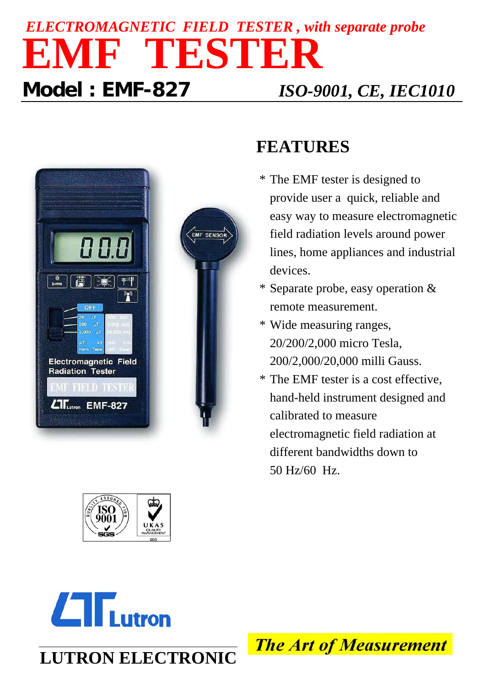# *ELECTROMAGNETIC FIELD TESTER , with separate probe* **EMF TESTER Model : EMF-827** *ISO-9001, CE, IEC1010*





### **FEATURES**

- \* The EMF tester is designed to provide user a quick, reliable and easy way to measure electromagnetic field radiation levels around power lines, home appliances and industrial devices.
- \* Separate probe, easy operation & remote measurement.
- \* Wide measuring ranges, 20/200/2,000 micro Tesla, 200/2,000/20,000 milli Gauss.
- \* The EMF tester is a cost effective, hand-held instrument designed and calibrated to measure electromagnetic field radiation at different bandwidths down to 50 Hz/60 Hz.



**LUTRON ELECTRONIC**

**The Art of Measurement**